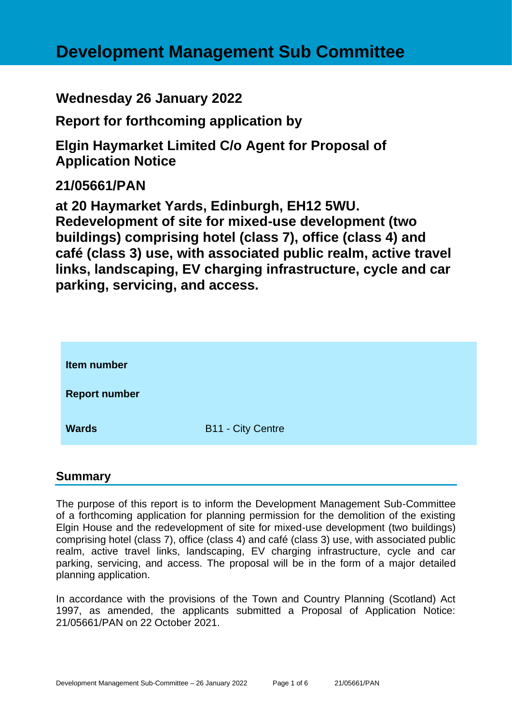# **Development Management Sub Committee**

# **Wednesday 26 January 2022**

**Report for forthcoming application by**

**Elgin Haymarket Limited C/o Agent for Proposal of Application Notice** 

# **21/05661/PAN**

**at 20 Haymarket Yards, Edinburgh, EH12 5WU. Redevelopment of site for mixed-use development (two buildings) comprising hotel (class 7), office (class 4) and café (class 3) use, with associated public realm, active travel links, landscaping, EV charging infrastructure, cycle and car parking, servicing, and access.**

| Item number          |                          |
|----------------------|--------------------------|
| <b>Report number</b> |                          |
| <b>Wards</b>         | <b>B11 - City Centre</b> |

#### **Summary**

The purpose of this report is to inform the Development Management Sub-Committee of a forthcoming application for planning permission for the demolition of the existing Elgin House and the redevelopment of site for mixed-use development (two buildings) comprising hotel (class 7), office (class 4) and café (class 3) use, with associated public realm, active travel links, landscaping, EV charging infrastructure, cycle and car parking, servicing, and access. The proposal will be in the form of a major detailed planning application.

In accordance with the provisions of the Town and Country Planning (Scotland) Act 1997, as amended, the applicants submitted a Proposal of Application Notice: 21/05661/PAN on 22 October 2021.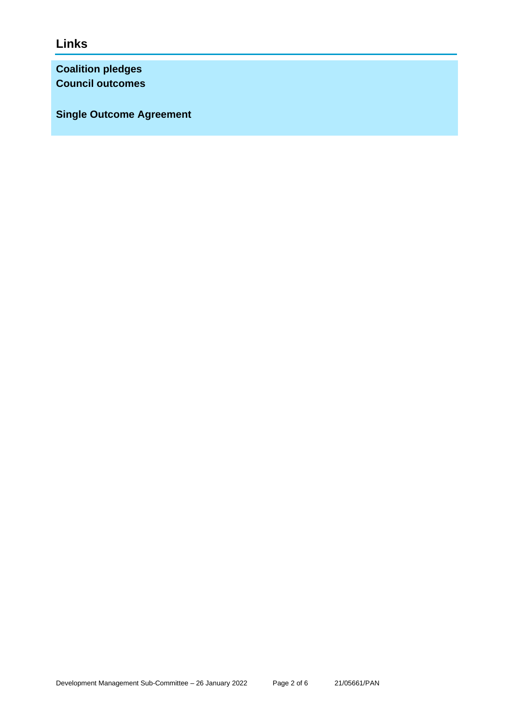**Links**

**Coalition pledges Council outcomes**

**Single Outcome Agreement**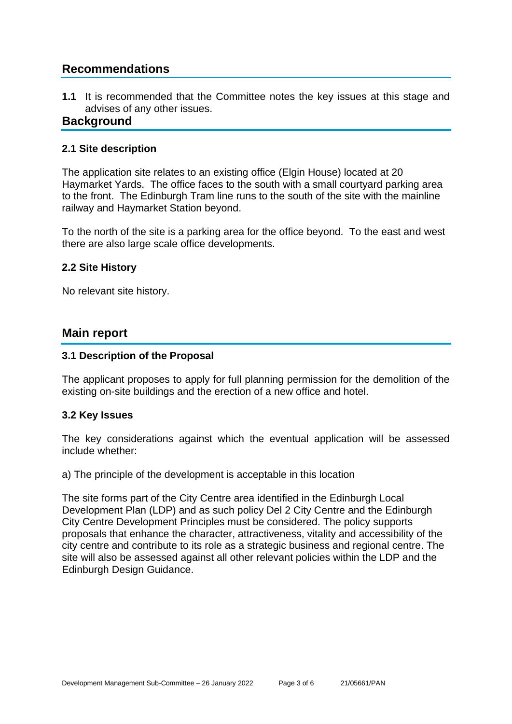## **Recommendations**

**1.1** It is recommended that the Committee notes the key issues at this stage and advises of any other issues.

#### **Background**

#### **2.1 Site description**

The application site relates to an existing office (Elgin House) located at 20 Haymarket Yards. The office faces to the south with a small courtyard parking area to the front. The Edinburgh Tram line runs to the south of the site with the mainline railway and Haymarket Station beyond.

To the north of the site is a parking area for the office beyond. To the east and west there are also large scale office developments.

#### **2.2 Site History**

No relevant site history.

#### **Main report**

#### **3.1 Description of the Proposal**

The applicant proposes to apply for full planning permission for the demolition of the existing on-site buildings and the erection of a new office and hotel.

#### **3.2 Key Issues**

The key considerations against which the eventual application will be assessed include whether:

a) The principle of the development is acceptable in this location

The site forms part of the City Centre area identified in the Edinburgh Local Development Plan (LDP) and as such policy Del 2 City Centre and the Edinburgh City Centre Development Principles must be considered. The policy supports proposals that enhance the character, attractiveness, vitality and accessibility of the city centre and contribute to its role as a strategic business and regional centre. The site will also be assessed against all other relevant policies within the LDP and the Edinburgh Design Guidance.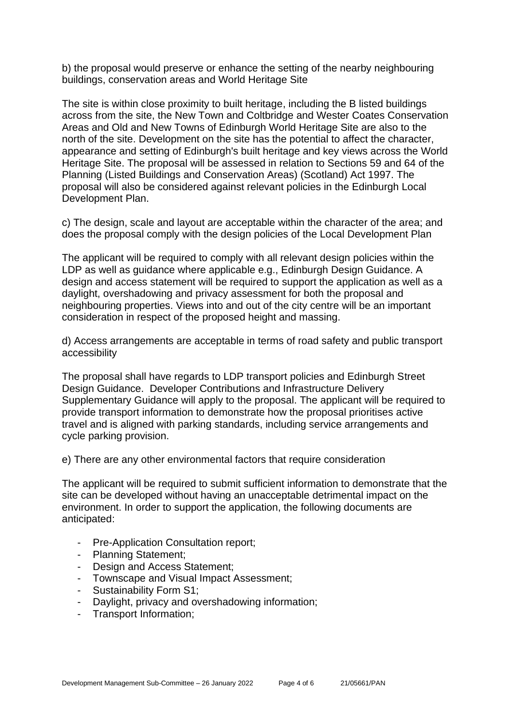b) the proposal would preserve or enhance the setting of the nearby neighbouring buildings, conservation areas and World Heritage Site

The site is within close proximity to built heritage, including the B listed buildings across from the site, the New Town and Coltbridge and Wester Coates Conservation Areas and Old and New Towns of Edinburgh World Heritage Site are also to the north of the site. Development on the site has the potential to affect the character, appearance and setting of Edinburgh's built heritage and key views across the World Heritage Site. The proposal will be assessed in relation to Sections 59 and 64 of the Planning (Listed Buildings and Conservation Areas) (Scotland) Act 1997. The proposal will also be considered against relevant policies in the Edinburgh Local Development Plan.

c) The design, scale and layout are acceptable within the character of the area; and does the proposal comply with the design policies of the Local Development Plan

The applicant will be required to comply with all relevant design policies within the LDP as well as guidance where applicable e.g., Edinburgh Design Guidance. A design and access statement will be required to support the application as well as a daylight, overshadowing and privacy assessment for both the proposal and neighbouring properties. Views into and out of the city centre will be an important consideration in respect of the proposed height and massing.

d) Access arrangements are acceptable in terms of road safety and public transport accessibility

The proposal shall have regards to LDP transport policies and Edinburgh Street Design Guidance. Developer Contributions and Infrastructure Delivery Supplementary Guidance will apply to the proposal. The applicant will be required to provide transport information to demonstrate how the proposal prioritises active travel and is aligned with parking standards, including service arrangements and cycle parking provision.

e) There are any other environmental factors that require consideration

The applicant will be required to submit sufficient information to demonstrate that the site can be developed without having an unacceptable detrimental impact on the environment. In order to support the application, the following documents are anticipated:

- Pre-Application Consultation report;
- Planning Statement;
- Design and Access Statement;
- Townscape and Visual Impact Assessment;
- Sustainability Form S1;
- Daylight, privacy and overshadowing information;
- Transport Information;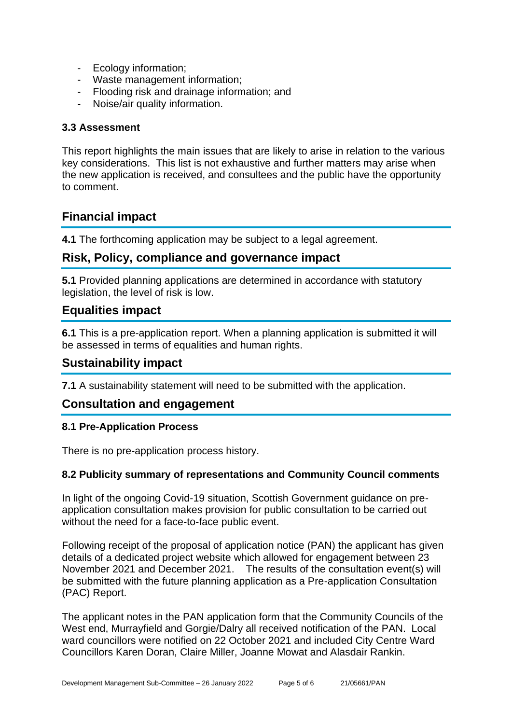- Ecology information;
- Waste management information;
- Flooding risk and drainage information; and
- Noise/air quality information.

#### **3.3 Assessment**

This report highlights the main issues that are likely to arise in relation to the various key considerations. This list is not exhaustive and further matters may arise when the new application is received, and consultees and the public have the opportunity to comment.

# **Financial impact**

**4.1** The forthcoming application may be subject to a legal agreement.

### **Risk, Policy, compliance and governance impact**

**5.1** Provided planning applications are determined in accordance with statutory legislation, the level of risk is low.

### **Equalities impact**

**6.1** This is a pre-application report. When a planning application is submitted it will be assessed in terms of equalities and human rights.

#### **Sustainability impact**

**7.1** A sustainability statement will need to be submitted with the application.

### **Consultation and engagement**

#### **8.1 Pre-Application Process**

There is no pre-application process history.

#### **8.2 Publicity summary of representations and Community Council comments**

In light of the ongoing Covid-19 situation, Scottish Government guidance on preapplication consultation makes provision for public consultation to be carried out without the need for a face-to-face public event.

Following receipt of the proposal of application notice (PAN) the applicant has given details of a dedicated project website which allowed for engagement between 23 November 2021 and December 2021. The results of the consultation event(s) will be submitted with the future planning application as a Pre-application Consultation (PAC) Report.

The applicant notes in the PAN application form that the Community Councils of the West end, Murrayfield and Gorgie/Dalry all received notification of the PAN. Local ward councillors were notified on 22 October 2021 and included City Centre Ward Councillors Karen Doran, Claire Miller, Joanne Mowat and Alasdair Rankin.